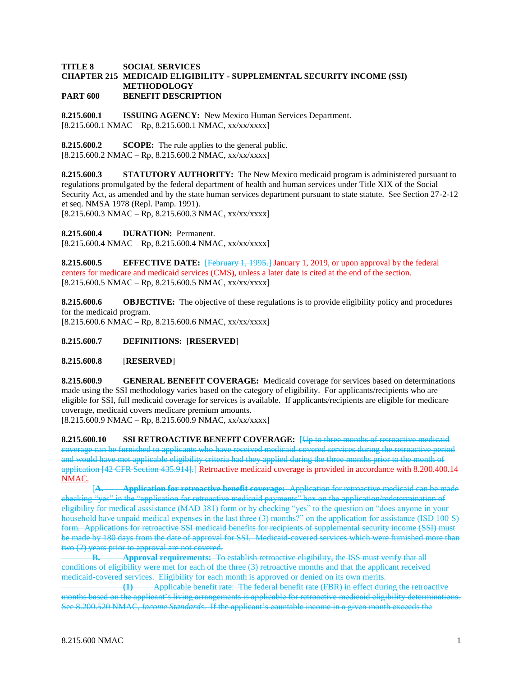## **TITLE 8 SOCIAL SERVICES CHAPTER 215 MEDICAID ELIGIBILITY - SUPPLEMENTAL SECURITY INCOME (SSI) METHODOLOGY PART 600 BENEFIT DESCRIPTION**

**8.215.600.1 ISSUING AGENCY:** New Mexico Human Services Department. [8.215.600.1 NMAC – Rp, 8.215.600.1 NMAC, xx/xx/xxxx]

**8.215.600.2 SCOPE:** The rule applies to the general public.  $[8.215.600.2 NMAC - Rp, 8.215.600.2 NMAC, xx/xx/xxx]$ 

**8.215.600.3 STATUTORY AUTHORITY:** The New Mexico medicaid program is administered pursuant to regulations promulgated by the federal department of health and human services under Title XIX of the Social Security Act, as amended and by the state human services department pursuant to state statute. See Section 27-2-12 et seq. NMSA 1978 (Repl. Pamp. 1991).  $[8.215.600.3 \text{ NMAC} - \text{Rp}, 8.215.600.3 \text{ NMAC}, xx/xxxxx]$ 

**8.215.600.4 DURATION:** Permanent.

 $[8.215.600.4 \text{ NMAC} - \text{Rp}, 8.215.600.4 \text{ NMAC}, xx/xx/xxxx]$ 

**8.215.600.5 EFFECTIVE DATE:** [February 1, 1995.] January 1, 2019, or upon approval by the federal centers for medicare and medicaid services (CMS), unless a later date is cited at the end of the section.  $[8.215.600.5 \text{ NMAC} - \text{Rp}, 8.215.600.5 \text{ NMAC}, xx/xxxxx]$ 

**8.215.600.6 OBJECTIVE:** The objective of these regulations is to provide eligibility policy and procedures for the medicaid program.  $[8.215.600.6 NMAC - Rp, 8.215.600.6 NMAC, xx/xx/xxxx]$ 

**8.215.600.7 DEFINITIONS:** [**RESERVED**]

**8.215.600.8** [**RESERVED**]

**8.215.600.9 GENERAL BENEFIT COVERAGE:** Medicaid coverage for services based on determinations made using the SSI methodology varies based on the category of eligibility. For applicants/recipients who are eligible for SSI, full medicaid coverage for services is available. If applicants/recipients are eligible for medicare coverage, medicaid covers medicare premium amounts.

 $[8.215.600.9 \text{ NMAC} - \text{Rp}, 8.215.600.9 \text{ NMAC}, xx/xxxxx]$ 

**8.215.600.10 SSI RETROACTIVE BENEFIT COVERAGE:** [Up to three months of retroactive medicaid coverage can be furnished to applicants who have received medicaid-covered services during the retroactive period and would have met applicable eligibility criteria had they applied during the three months prior to the month of application [42 CFR Section 435.914].] Retroactive medicaid coverage is provided in accordance with 8.200.400.14 NMAC.

[**A. Application for retroactive benefit coverage:** Application for retroactive medicaid can be made checking "yes" in the "application for retroactive medicaid payments" box on the application/redetermination of eligibility for medical asssistance (MAD 381) form or by checking "yes" to the question on "does anyone in your household have unpaid medical expenses in the last three (3) months?" on the application for assistance (ISD 100 S) form. Applications for retroactive SSI medicaid benefits for recipients of supplemental security income (SSI) must be made by 180 days from the date of approval for SSI. Medicaid-covered services which were furnished more than two (2) years prior to approval are not covered.

**B. Approval requirements:** To establish retroactive eligibility, the ISS must verify that all conditions of eligibility were met for each of the three (3) retroactive months and that the applicant received medicaid-covered services. Eligibility for each month is approved or denied on its own merits.<br>
Applicable benefit rate: The federal benefit rate (FBR) in effect during

**(1)** Applicable benefit rate: The federal benefit rate (FBR) in effect during the retroactive months based on the applicant's living arrangements is applicable for retroactive medicaid eligibility determinations. See 8.200.520 NMAC, *Income Standards*. If the applicant's countable income in a given month exceeds the